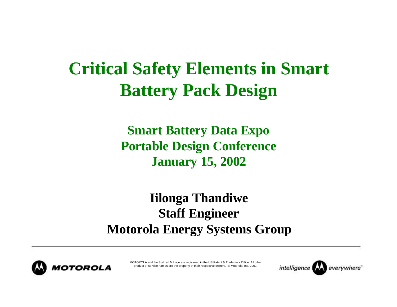## **Critical Safety Elements in Smart Battery Pack Design**

**Smart Battery Data Expo Portable Design Conference January 15, 2002**

**Iilonga Thandiwe Staff Engineer Motorola Energy Systems Group**



MOTOROLA and the Stylized M Logo are registered in the US Patent & Trademark Office. All other product or service names are the property of their respective owners. © Motorola, Inc. 2001.

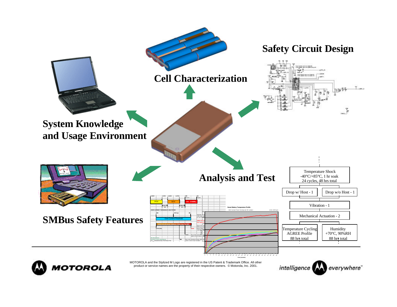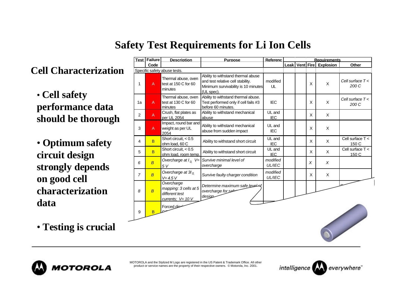## **Safety Test Requirements for Li Ion Cells**

**Cell Characterization**

• **Cell safety performance data should be thorough**

• **Optimum safety circuit design strongly depends on good cell characterization data**

• **Testing is crucial**

|                | <b>Test Failure</b> | <b>Description</b>                                                           | <b>Purpose</b>                                                                                                               | Referenc                  | <b>Requirements</b> |  |   |                          |                             |
|----------------|---------------------|------------------------------------------------------------------------------|------------------------------------------------------------------------------------------------------------------------------|---------------------------|---------------------|--|---|--------------------------|-----------------------------|
|                | Code                |                                                                              |                                                                                                                              |                           |                     |  |   | Leak Vent Fire Explosion | Other                       |
|                |                     | Specific safety abuse tests.                                                 |                                                                                                                              |                           |                     |  |   |                          |                             |
| 1              | A                   | Thermal abuse, oven<br>test at 150 C for 60<br>minutes                       | Ability to withstand thermal abuse<br>and test relative cell stability.<br>Minimum survivability is 10 minutes<br>(UL spec). | modified<br>UL            |                     |  | X | X                        | Cell surface $T <$<br>200 C |
| 1a             | $\overline{A}$      | Thermal abuse, oven<br>test at 130 C for 60<br>minutes                       | Ability to withstand thermal abuse.<br>Test performed only if cell fails #3<br>before 60 minutes.                            | <b>IEC</b>                |                     |  | X | X                        | Cell surface $T <$<br>200 C |
| 2              | $\mathsf{A}$        | Crush, flat plates as<br>per UL 2054                                         | Ability to withstand mechanical<br>abuse                                                                                     | UL and<br>IEC             |                     |  | X | X                        |                             |
| 3              | $\overline{A}$      | Impact, round bar and<br>weight as per UL<br>2054                            | Ability to withstand mechanical<br>abuse from sudden impact                                                                  | UL and<br><b>IEC</b>      |                     |  | X | X                        |                             |
| 4              | B                   | Short circuit, $< 0.5$<br>ohm load, 60 C                                     | Ability to withstand short circuit                                                                                           | UL and<br><b>IEC</b>      |                     |  | X | X                        | Cell surface $T <$<br>150 C |
| 5              | <b>B</b>            | Short circuit, $< 0.5$<br>ohm load, room temp                                | Ability to withstand short circuit                                                                                           | UL and<br><b>IEC</b>      |                     |  | X | X                        | Cell surface $T <$<br>150 C |
| 6              | $\overline{B}$      | Overcharge at $I_0$ , V=<br>5V                                               | Survive minimal level of<br>overcharge                                                                                       | modified<br><b>UL/IEC</b> |                     |  | X | X                        |                             |
| $\overline{7}$ | $\overline{B}$      | Overcharge at $3I_0$<br>$V = 4.5 V$                                          | Survive faulty charger condition                                                                                             | modified<br>UL/IEC        |                     |  | X | $\mathsf{X}$             |                             |
| 8              | $\overline{B}$      | Overcharge<br>mapping: 3 cells at 5<br>different test<br>currents; $V=$ 10 V | Determine maximum safe level of<br>overcharge for safe<br>design                                                             |                           |                     |  |   |                          |                             |
| 9              | B                   | Forced dise                                                                  |                                                                                                                              |                           |                     |  |   |                          |                             |



MOTOROLA and the Stylized M Logo are registered in the US Patent & Trademark Office. All other product or service names are the property of their respective owners. © Motorola, Inc. 2001.

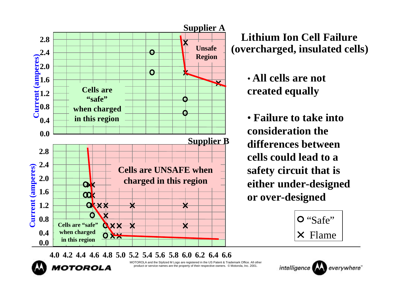

**Lithium Ion Cell Failure (overcharged, insulated cells)**

> • **All cells are not created equally**

• **Failure to take into consideration the differences between cells could lead to a safety circuit that is either under-designed or over-designed**

> O "Safe" Flame

**4.0 4.2 4.4 4.6 4.8 5.0 5.2 5.4 5.6 5.8 6.0 6.2 6.4 6.6**

MOTOROLA and the Stylized M Logo are registered in the US Patent & Trademark Office. All other product or service names are the property of their respective owners. © Motorola, Inc. 2001.



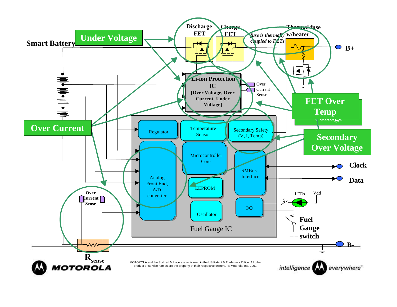